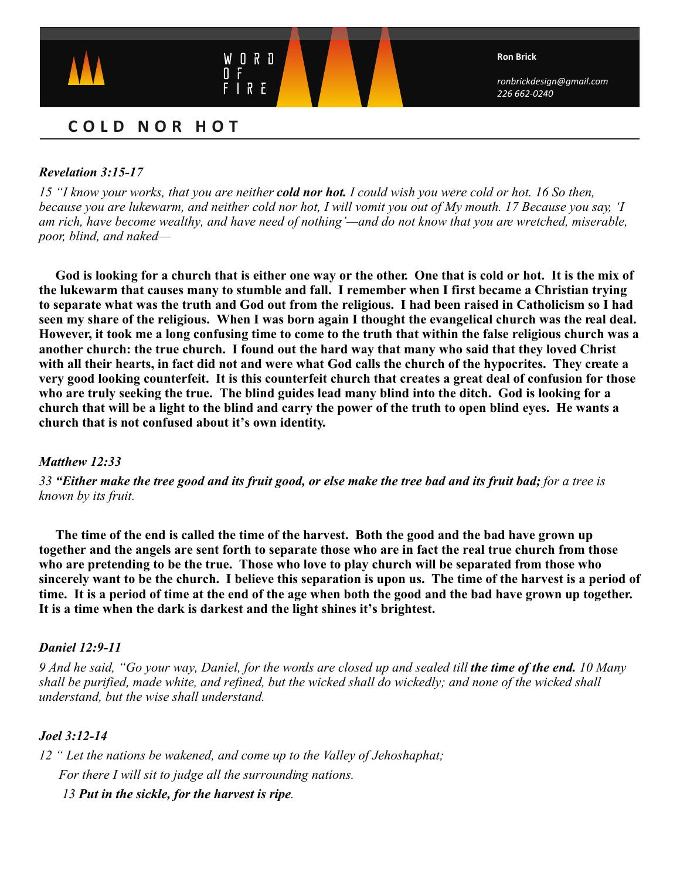

# **COLD NOR HOT**

## *Revelation 3:15-17*

*15 "I know your works, that you are neither cold nor hot. I could wish you were cold or hot. 16 So then, because you are lukewarm, and neither cold nor hot, I will vomit you out of My mouth. 17 Because you say, 'I am rich, have become wealthy, and have need of nothing'—and do not know that you are wretched, miserable, poor, blind, and naked—*

**God is looking for a church that is either one way or the other. One that is cold or hot. It is the mix of the lukewarm that causes many to stumble and fall. I remember when I first became a Christian trying to separate what was the truth and God out from the religious. I had been raised in Catholicism so I had seen my share of the religious. When I was born again I thought the evangelical church was the real deal. However, it took me a long confusing time to come to the truth that within the false religious church was a another church: the true church. I found out the hard way that many who said that they loved Christ with all their hearts, in fact did not and were what God calls the church of the hypocrites. They create a very good looking counterfeit. It is this counterfeit church that creates a great deal of confusion for those who are truly seeking the true. The blind guides lead many blind into the ditch. God is looking for a church that will be a light to the blind and carry the power of the truth to open blind eyes. He wants a church that is not confused about it's own identity.** 

## *Matthew 12:33*

*33 "Either make the tree good and its fruit good, or else make the tree bad and its fruit bad; for a tree is known by its fruit.* 

**The time of the end is called the time of the harvest. Both the good and the bad have grown up together and the angels are sent forth to separate those who are in fact the real true church from those who are pretending to be the true. Those who love to play church will be separated from those who sincerely want to be the church. I believe this separation is upon us. The time of the harvest is a period of time. It is a period of time at the end of the age when both the good and the bad have grown up together. It is a time when the dark is darkest and the light shines it's brightest.** 

## *Daniel 12:9-11*

*9 And he said, "Go your way, Daniel, for the words are closed up and sealed till the time of the end.* 10 Many *shall be purified, made white, and refined, but the wicked shall do wickedly; and none of the wicked shall understand, but the wise shall understand.* 

## *Joel 3:12-14*

*12 " Let the nations be wakened, and come up to the Valley of Jehoshaphat; For there I will sit to judge all the surrounding nations.*

 *13 Put in the sickle, for the harvest is ripe.*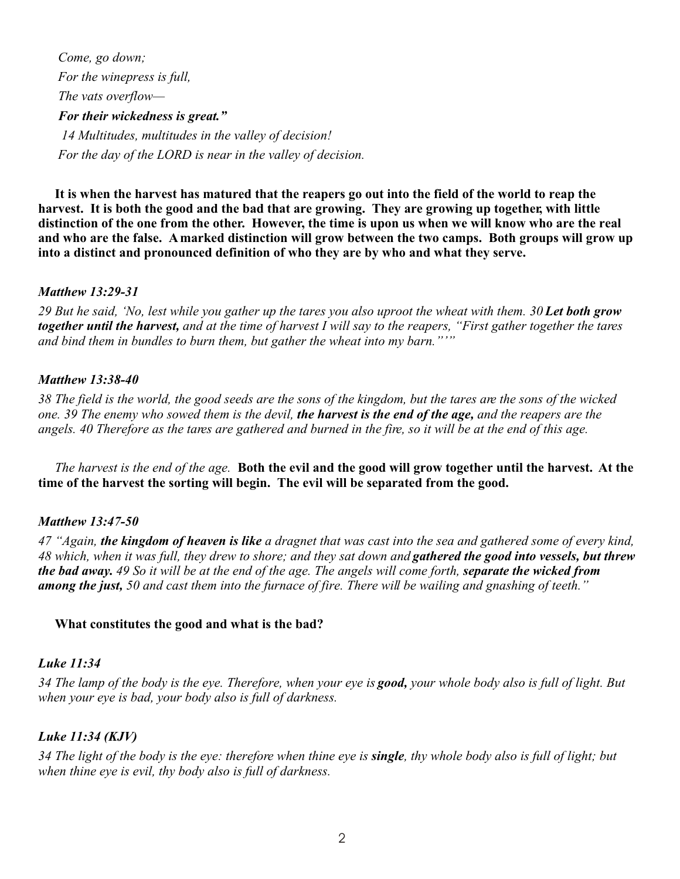*Come, go down; For the winepress is full, The vats overflow— For their wickedness is great." 14 Multitudes, multitudes in the valley of decision! For the day of the LORD is near in the valley of decision.*

**It is when the harvest has matured that the reapers go out into the field of the world to reap the harvest. It is both the good and the bad that are growing. They are growing up together, with little distinction of the one from the other. However, the time is upon us when we will know who are the real and who are the false. A marked distinction will grow between the two camps. Both groups will grow up into a distinct and pronounced definition of who they are by who and what they serve.** 

#### *Matthew 13:29-31*

29 But he said, 'No, lest while you gather up the tares you also uproot the wheat with them. 30 Let both grow *together until the harvest, and at the time of harvest I will say to the reapers, "First gather together the tares and bind them in bundles to burn them, but gather the wheat into my barn."'"*

## *Matthew 13:38-40*

*38 The field is the world, the good seeds are the sons of the kingdom, but the tares are the sons of the wicked one. 39 The enemy who sowed them is the devil, the harvest is the end of the age, and the reapers are the angels. 40 Therefore as the tares are gathered and burned in the fire, so it will be at the end of this age.*

 *The harvest is the end of the age.* **Both the evil and the good will grow together until the harvest. At the time of the harvest the sorting will begin. The evil will be separated from the good.**

## *Matthew 13:47-50*

*47 "Again, the kingdom of heaven is like a dragnet that was cast into the sea and gathered some of every kind, 48 which, when it was full, they drew to shore; and they sat down and gathered the good into vessels, but threw the bad away. 49 So it will be at the end of the age. The angels will come forth, separate the wicked from among the just, 50 and cast them into the furnace of fire. There will be wailing and gnashing of teeth."* 

#### **What constitutes the good and what is the bad?**

#### *Luke 11:34*

*34 The lamp of the body is the eye. Therefore, when your eye is good, your whole body also is full of light. But when your eye is bad, your body also is full of darkness.*

## *Luke 11:34 (KJV)*

*34 The light of the body is the eye: therefore when thine eye is single, thy whole body also is full of light; but when thine eye is evil, thy body also is full of darkness.*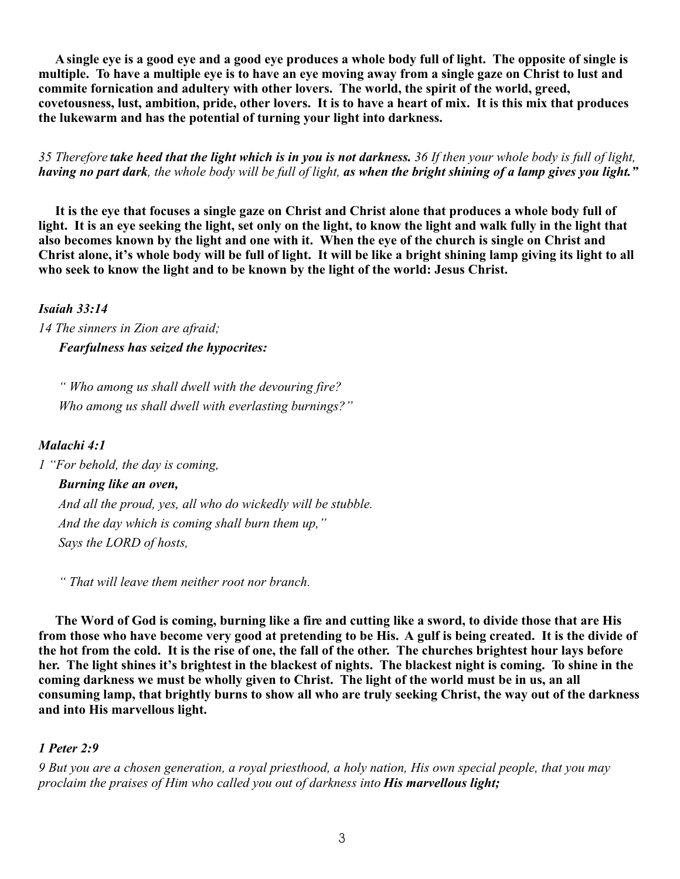**A single eye is a good eye and a good eye produces a whole body full of light. The opposite of single is multiple. To have a multiple eye is to have an eye moving away from a single gaze on Christ to lust and commite fornication and adultery with other lovers. The world, the spirit of the world, greed, covetousness, lust, ambition, pride, other lovers. It is to have a heart of mix. It is this mix that produces the lukewarm and has the potential of turning your light into darkness.** 

*35 Therefore take heed that the light which is in you is not darkness. 36 If then your whole body is full of light, having no part dark, the whole body will be full of light, as when the bright shining of a lamp gives you light."*

 **It is the eye that focuses a single gaze on Christ and Christ alone that produces a whole body full of light. It is an eye seeking the light, set only on the light, to know the light and walk fully in the light that also becomes known by the light and one with it. When the eye of the church is single on Christ and Christ alone, it's whole body will be full of light. It will be like a bright shining lamp giving its light to all who seek to know the light and to be known by the light of the world: Jesus Christ.**

## *Isaiah 33:14*

*14 The sinners in Zion are afraid; Fearfulness has seized the hypocrites:*

 *" Who among us shall dwell with the devouring fire? Who among us shall dwell with everlasting burnings?"*

# *Malachi 4:1*

*1 "For behold, the day is coming,*

## *Burning like an oven,*

 *And all the proud, yes, all who do wickedly will be stubble. And the day which is coming shall burn them up," Says the LORD of hosts,*

 *" That will leave them neither root nor branch.* 

**The Word of God is coming, burning like a fire and cutting like a sword, to divide those that are His from those who have become very good at pretending to be His. A gulf is being created. It is the divide of the hot from the cold. It is the rise of one, the fall of the other. The churches brightest hour lays before her. The light shines it's brightest in the blackest of nights. The blackest night is coming. To shine in the coming darkness we must be wholly given to Christ. The light of the world must be in us, an all consuming lamp, that brightly burns to show all who are truly seeking Christ, the way out of the darkness and into His marvellous light.**

# *1 Peter 2:9*

*9 But you are a chosen generation, a royal priesthood, a holy nation, His own special people, that you may proclaim the praises of Him who called you out of darkness into His marvellous light;*